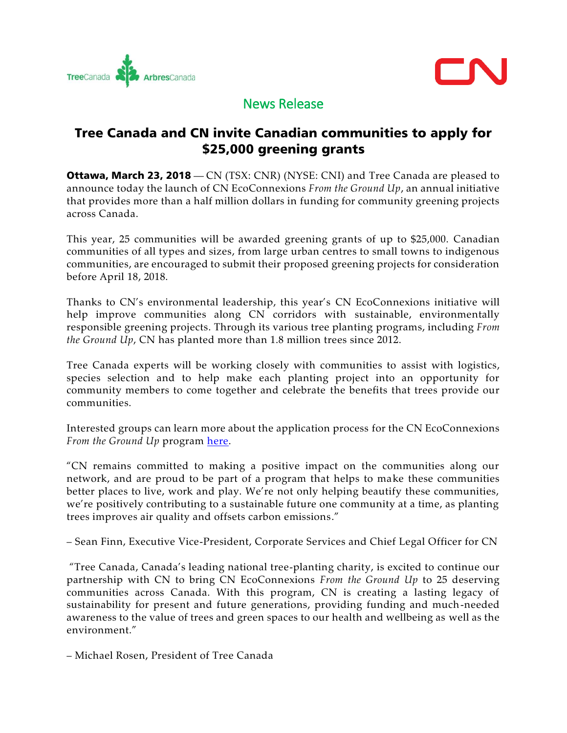



# News Release

## Tree Canada and CN invite Canadian communities to apply for \$25,000 greening grants

**Ottawa, March 23, 2018** — CN (TSX: CNR) (NYSE: CNI) and Tree Canada are pleased to announce today the launch of CN EcoConnexions *From the Ground Up*, an annual initiative that provides more than a half million dollars in funding for community greening projects across Canada.

This year, 25 communities will be awarded greening grants of up to \$25,000. Canadian communities of all types and sizes, from large urban centres to small towns to indigenous communities, are encouraged to submit their proposed greening projects for consideration before April 18, 2018.

Thanks to CN's environmental leadership, this year's CN EcoConnexions initiative will help improve communities along CN corridors with sustainable, environmentally responsible greening projects. Through its various tree planting programs, including *From the Ground Up*, CN has planted more than 1.8 million trees since 2012.

Tree Canada experts will be working closely with communities to assist with logistics, species selection and to help make each planting project into an opportunity for community members to come together and celebrate the benefits that trees provide our communities.

Interested groups can learn more about the application process for the CN EcoConnexions *From the Ground Up* program [here.](https://treecanada.ca/greening-communities/cn-ecoconnexions-from-the-ground-up/)

"CN remains committed to making a positive impact on the communities along our network, and are proud to be part of a program that helps to make these communities better places to live, work and play. We're not only helping beautify these communities, we're positively contributing to a sustainable future one community at a time, as planting trees improves air quality and offsets carbon emissions."

– Sean Finn, Executive Vice-President, Corporate Services and Chief Legal Officer for CN

"Tree Canada, Canada's leading national tree-planting charity, is excited to continue our partnership with CN to bring CN EcoConnexions *From the Ground Up* to 25 deserving communities across Canada. With this program, CN is creating a lasting legacy of sustainability for present and future generations, providing funding and much-needed awareness to the value of trees and green spaces to our health and wellbeing as well as the environment."

– Michael Rosen, President of Tree Canada